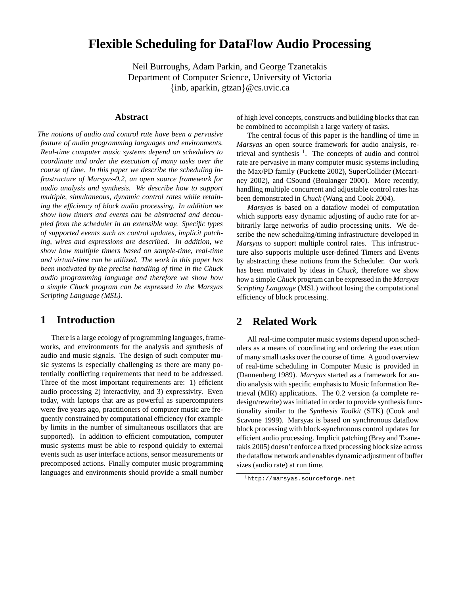# **Flexible Scheduling for DataFlow Audio Processing**

Neil Burroughs, Adam Parkin, and George Tzanetakis Department of Computer Science, University of Victoria {inb, aparkin, gtzan}@cs.uvic.ca

#### **Abstract**

*The notions of audio and control rate have been a pervasive feature of audio programming languages and environments. Real-time computer music systems depend on schedulers to coordinate and order the execution of many tasks over the course of time. In this paper we describe the scheduling infrastructure of Marsyas-0.2, an open source framework for audio analysis and synthesis. We describe how to support multiple, simultaneous, dynamic control rates while retaining the efficiency of block audio processing. In addition we show how timers and events can be abstracted and decoupled from the scheduler in an extensible way. Specific types of supported events such as control updates, implicit patching, wires and expressions are described. In addition, we show how multiple timers based on sample-time, real-time and virtual-time can be utilized. The work in this paper has been motivated by the precise handling of time in the Chuck audio programming language and therefore we show how a simple Chuck program can be expressed in the Marsyas Scripting Language (MSL).*

#### **1 Introduction**

There is a large ecology of programming languages, frameworks, and environments for the analysis and synthesis of audio and music signals. The design of such computer music systems is especially challenging as there are many potentially conflicting requirements that need to be addressed. Three of the most important requirements are: 1) efficient audio processing 2) interactivity, and 3) expressivity. Even today, with laptops that are as powerful as supercomputers were five years ago, practitioners of computer music are frequently constrained by computational efficiency (for example by limits in the number of simultaneous oscillators that are supported). In addition to efficient computation, computer music systems must be able to respond quickly to external events such as user interface actions, sensor measurements or precomposed actions. Finally computer music programming languages and environments should provide a small number

of high level concepts, constructs and building blocks that can be combined to accomplish a large variety of tasks.

The central focus of this paper is the handling of time in *Marsyas* an open source framework for audio analysis, retrieval and synthesis  $1$ . The concepts of audio and control rate are pervasive in many computer music systems including the Max/PD family (Puckette 2002), SuperCollider (Mccartney 2002), and CSound (Boulanger 2000). More recently, handling multiple concurrent and adjustable control rates has been demonstrated in *Chuck* (Wang and Cook 2004).

*Marsyas* is based on a dataflow model of computation which supports easy dynamic adjusting of audio rate for arbitrarily large networks of audio processing units. We describe the new scheduling/timing infrastructure developed in *Marsyas* to support multiple control rates. This infrastructure also supports multiple user-defined Timers and Events by abstracting these notions from the Scheduler. Our work has been motivated by ideas in *Chuck*, therefore we show how a simple *Chuck* program can be expressed in the *Marsyas Scripting Language* (MSL) without losing the computational efficiency of block processing.

#### **2 Related Work**

All real-time computer music systems depend upon schedulers as a means of coordinating and ordering the execution of many small tasks over the course of time. A good overview of real-time scheduling in Computer Music is provided in (Dannenberg 1989). *Marsyas* started as a framework for audio analysis with specific emphasis to Music Information Retrieval (MIR) applications. The 0.2 version (a complete redesign/rewrite) was initiated in order to provide synthesis functionality similar to the *Synthesis Toolkit* (STK) (Cook and Scavone 1999). Marsyas is based on synchronous dataflow block processing with block-synchronous control updates for efficient audio processing. Implicit patching (Bray and Tzanetakis 2005) doesn't enforce a fixed processing block size across the dataflow network and enables dynamic adjustment of buffer sizes (audio rate) at run time.

<sup>1</sup>http://marsyas.sourceforge.net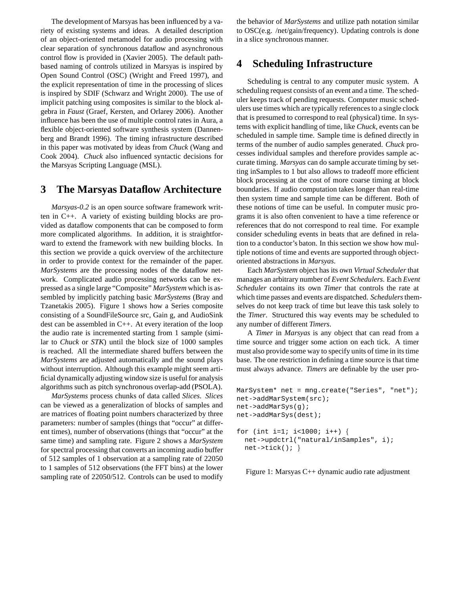The development of Marsyas has been influenced by a variety of existing systems and ideas. A detailed description of an object-oriented metamodel for audio processing with clear separation of synchronous dataflow and asynchronous control flow is provided in (Xavier 2005). The default pathbased naming of controls utilized in Marsyas is inspired by Open Sound Control (OSC) (Wright and Freed 1997), and the explicit representation of time in the processing of slices is inspired by SDIF (Schwarz and Wright 2000). The use of implicit patching using composites is similar to the block algebra in *Faust* (Graef, Kersten, and Orlarey 2006). Another influence has been the use of multiple control rates in Aura, a flexible object-oriented software synthesis system (Dannenberg and Brandt 1996). The timing infrastructure described in this paper was motivated by ideas from *Chuck* (Wang and Cook 2004). *Chuck* also influenced syntactic decisions for the Marsyas Scripting Language (MSL).

#### **3 The Marsyas Dataflow Architecture**

*Marsyas-0.2* is an open source software framework written in C++. A variety of existing building blocks are provided as dataflow components that can be composed to form more complicated algorithms. In addition, it is straightforward to extend the framework with new building blocks. In this section we provide a quick overview of the architecture in order to provide context for the remainder of the paper. *MarSystems* are the processing nodes of the dataflow network. Complicated audio processing networks can be expressed as a single large "Composite" *MarSystem* which is assembled by implicitly patching basic *MarSystems* (Bray and Tzanetakis 2005). Figure 1 shows how a Series composite consisting of a SoundFileSource src, Gain g, and AudioSink dest can be assembled in C++. At every iteration of the loop the audio rate is incremented starting from 1 sample (similar to *Chuck* or *STK*) until the block size of 1000 samples is reached. All the intermediate shared buffers between the *MarSystems* are adjusted automatically and the sound plays without interruption. Although this example might seem artificial dynamically adjusting window size is useful for analysis algorithms such as pitch synchronous overlap-add (PSOLA).

*MarSystems* process chunks of data called *Slices*. *Slices* can be viewed as a generalization of blocks of samples and are matrices of floating point numbers characterized by three parameters: number of samples (things that "occur" at different times), number of observations (things that "occur" at the same time) and sampling rate. Figure 2 shows a *MarSystem* for spectral processing that converts an incoming audio buffer of 512 samples of 1 observation at a sampling rate of 22050 to 1 samples of 512 observations (the FFT bins) at the lower sampling rate of 22050/512. Controls can be used to modify the behavior of *MarSystems* and utilize path notation similar to OSC(e.g. /net/gain/frequency). Updating controls is done in a slice synchronous manner.

### **4 Scheduling Infrastructure**

Scheduling is central to any computer music system. A scheduling request consists of an event and a time. The scheduler keeps track of pending requests. Computer music schedulers use times which are typically referencesto a single clock that is presumed to correspond to real (physical) time. In systems with explicit handling of time, like *Chuck*, events can be scheduled in sample time. Sample time is defined directly in terms of the number of audio samples generated. *Chuck* processes individual samples and therefore provides sample accurate timing. *Marsyas* can do sample accurate timing by setting inSamples to 1 but also allows to tradeoff more efficient block processing at the cost of more coarse timing at block boundaries. If audio computation takes longer than real-time then system time and sample time can be different. Both of these notions of time can be useful. In computer music programs it is also often convenient to have a time reference or references that do not correspond to real time. For example consider scheduling events in beats that are defined in relation to a conductor's baton. In this section we show how multiple notions of time and events are supported through objectoriented abstractions in *Marsyas*.

Each *MarSystem* object has its own *Virtual Scheduler* that manages an arbitrary number of *Event Schedulers*. Each *Event Scheduler* contains its own *Timer* that controls the rate at which time passes and events are dispatched. *Schedulers*themselves do not keep track of time but leave this task solely to the *Timer*. Structured this way events may be scheduled to any number of different *Timers*.

A *Timer* in *Marsyas* is any object that can read from a time source and trigger some action on each tick. A timer must also provide some way to specify units of time in its time base. The one restriction in defining a time source is that time must always advance. *Timers* are definable by the user pro-

```
MarSystem* net = mng.create("Series", "net");
net->addMarSystem(src);
net->addMarSys(g);
net->addMarSys(dest);
for (int i=1; i<1000; i++) {
 net->updctrl("natural/inSamples", i);
  net->tick(); }
```
Figure 1: Marsyas C++ dynamic audio rate adjustment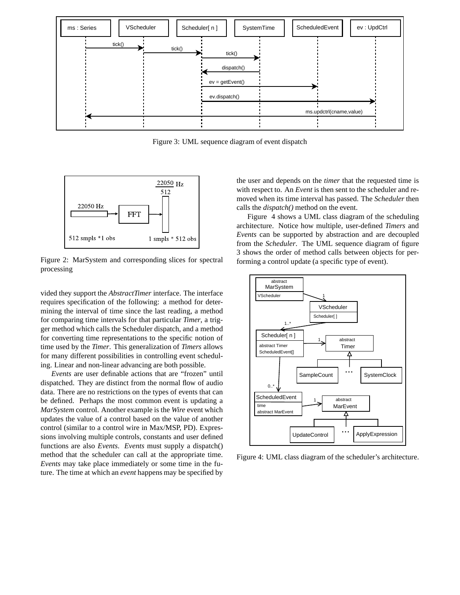

Figure 3: UML sequence diagram of event dispatch



Figure 2: MarSystem and corresponding slices for spectral processing

vided they support the *AbstractTimer* interface. The interface requires specification of the following: a method for determining the interval of time since the last reading, a method for comparing time intervals for that particular *Timer*, a trigger method which calls the Scheduler dispatch, and a method for converting time representations to the specific notion of time used by the *Timer*. This generalization of *Timers* allows for many different possibilities in controlling event scheduling. Linear and non-linear advancing are both possible.

*Events* are user definable actions that are "frozen" until dispatched. They are distinct from the normal flow of audio data. There are no restrictions on the types of events that can be defined. Perhaps the most common event is updating a *MarSystem* control. Another example is the *Wire* event which updates the value of a control based on the value of another control (similar to a control wire in Max/MSP, PD). Expressions involving multiple controls, constants and user defined functions are also *Events*. *Events* must supply a dispatch() method that the scheduler can call at the appropriate time. *Events* may take place immediately or some time in the future. The time at which an *event* happens may be specified by the user and depends on the *timer* that the requested time is with respect to. An *Event* is then sent to the scheduler and removed when its time interval has passed. The *Scheduler* then calls the *dispatch()* method on the event.

Figure 4 shows a UML class diagram of the scheduling architecture. Notice how multiple, user-defined *Timers* and *Events* can be supported by abstraction and are decoupled from the *Scheduler*. The UML sequence diagram of figure 3 shows the order of method calls between objects for performing a control update (a specific type of event).



Figure 4: UML class diagram of the scheduler's architecture.